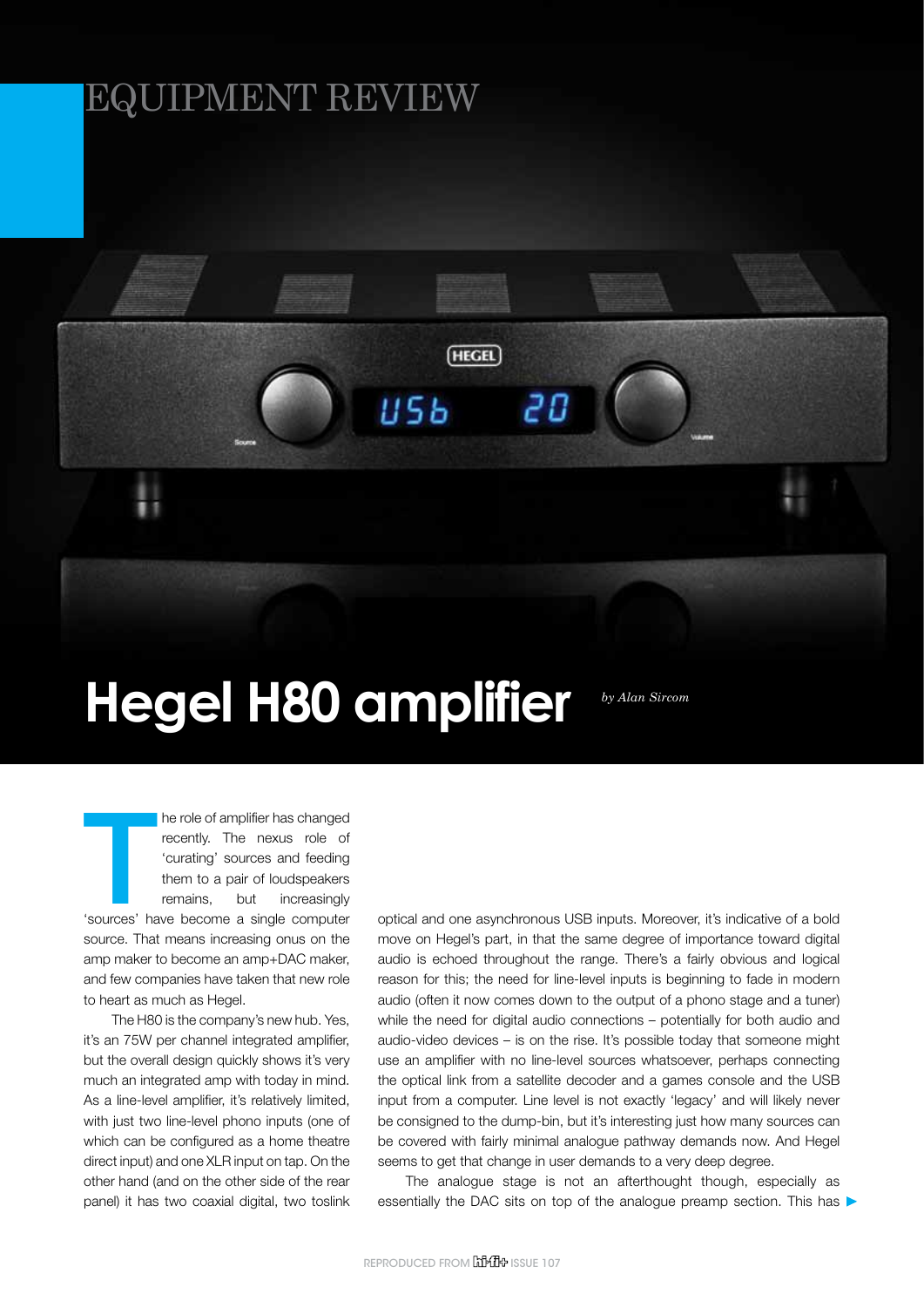## EQUIPMENT REVIEW

## **Hegel H80 amplifier**

*by Alan Sircom*

The role of amplifier has changed<br>
recently. The nexus role of<br>
'curating' sources and feeding<br>
them to a pair of loudspeakers<br>
remains, but increasingly<br>
'sources' have become a single computer he role of amplifier has changed recently. The nexus role of 'curating' sources and feeding them to a pair of loudspeakers remains, but increasingly source. That means increasing onus on the amp maker to become an amp+DAC maker, and few companies have taken that new role to heart as much as Hegel.

The H80 is the company's new hub. Yes, it's an 75W per channel integrated amplifier, but the overall design quickly shows it's very much an integrated amp with today in mind. As a line-level amplifier, it's relatively limited, with just two line-level phono inputs (one of which can be configured as a home theatre direct input) and one XLR input on tap. On the other hand (and on the other side of the rear panel) it has two coaxial digital, two toslink

optical and one asynchronous USB inputs. Moreover, it's indicative of a bold move on Hegel's part, in that the same degree of importance toward digital audio is echoed throughout the range. There's a fairly obvious and logical reason for this; the need for line-level inputs is beginning to fade in modern audio (often it now comes down to the output of a phono stage and a tuner) while the need for digital audio connections – potentially for both audio and audio-video devices – is on the rise. It's possible today that someone might use an amplifier with no line-level sources whatsoever, perhaps connecting the optical link from a satellite decoder and a games console and the USB input from a computer. Line level is not exactly 'legacy' and will likely never be consigned to the dump-bin, but it's interesting just how many sources can be covered with fairly minimal analogue pathway demands now. And Hegel seems to get that change in user demands to a very deep degree.

The analogue stage is not an afterthought though, especially as essentially the DAC sits on top of the analogue preamp section. This has  $\triangleright$ 

**HEGEL** 

U5b

20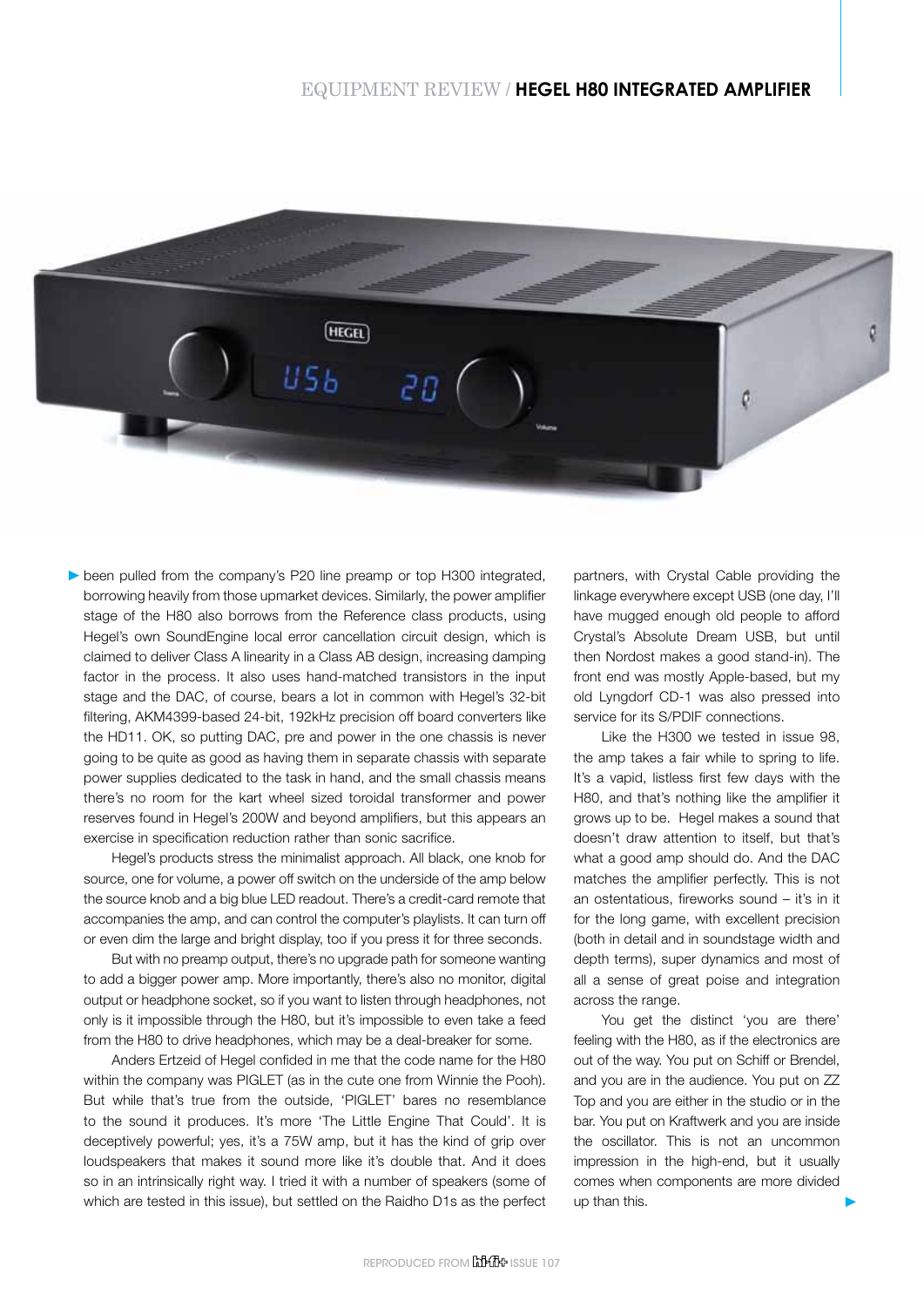

been pulled from the company's P20 line preamp or top H300 integrated, borrowing heavily from those upmarket devices. Similarly, the power amplifier stage of the H80 also borrows from the Reference class products, using Hegel's own SoundEngine local error cancellation circuit design, which is claimed to deliver Class A linearity in a Class AB design, increasing damping factor in the process. It also uses hand-matched transistors in the input stage and the DAC, of course, bears a lot in common with Hegel's 32-bit filtering, AKM4399-based 24-bit, 192kHz precision off board converters like the HD11. OK, so putting DAC, pre and power in the one chassis is never going to be quite as good as having them in separate chassis with separate power supplies dedicated to the task in hand, and the small chassis means there's no room for the kart wheel sized toroidal transformer and power reserves found in Hegel's 200W and beyond amplifiers, but this appears an exercise in specification reduction rather than sonic sacrifice.

Hegel's products stress the minimalist approach. All black, one knob for source, one for volume, a power off switch on the underside of the amp below the source knob and a big blue LED readout. There's a credit-card remote that accompanies the amp, and can control the computer's playlists. It can turn off or even dim the large and bright display, too if you press it for three seconds.

But with no preamp output, there's no upgrade path for someone wanting to add a bigger power amp. More importantly, there's also no monitor, digital output or headphone socket, so if you want to listen through headphones, not only is it impossible through the H80, but it's impossible to even take a feed from the H80 to drive headphones, which may be a deal-breaker for some.

Anders Ertzeid of Hegel confided in me that the code name for the H80 within the company was PIGLET (as in the cute one from Winnie the Pooh). But while that's true from the outside, 'PIGLET' bares no resemblance to the sound it produces. It's more 'The Little Engine That Could'. It is deceptively powerful; yes, it's a 75W amp, but it has the kind of grip over loudspeakers that makes it sound more like it's double that. And it does so in an intrinsically right way. I tried it with a number of speakers (some of which are tested in this issue), but settled on the Raidho D1s as the perfect

partners, with Crystal Cable providing the linkage everywhere except USB (one day, I'll have mugged enough old people to afford Crystal's Absolute Dream USB, but until then Nordost makes a good stand-in). The front end was mostly Apple-based, but my old Lyngdorf CD-1 was also pressed into service for its S/PDIF connections.

Like the H300 we tested in issue 98, the amp takes a fair while to spring to life. It's a vapid, listless first few days with the H80, and that's nothing like the amplifier it grows up to be. Hegel makes a sound that doesn't draw attention to itself, but that's what a good amp should do. And the DAC matches the amplifier perfectly. This is not an ostentatious, fireworks sound – it's in it for the long game, with excellent precision (both in detail and in soundstage width and depth terms), super dynamics and most of all a sense of great poise and integration across the range.

You get the distinct 'you are there' feeling with the H80, as if the electronics are out of the way. You put on Schiff or Brendel, and you are in the audience. You put on ZZ Top and you are either in the studio or in the bar. You put on Kraftwerk and you are inside the oscillator. This is not an uncommon impression in the high-end, but it usually comes when components are more divided up than this.